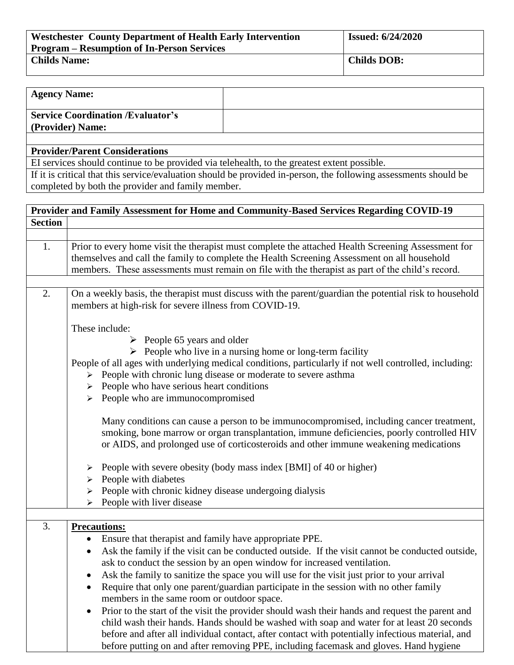| <b>Westchester County Department of Health Early Intervention</b> | <b>Issued: 6/24/2020</b> |  |
|-------------------------------------------------------------------|--------------------------|--|
| <b>Program – Resumption of In-Person Services</b>                 |                          |  |
| <b>Childs Name:</b>                                               | <b>Childs DOB:</b>       |  |

| <b>Agency Name:</b>                                          |  |
|--------------------------------------------------------------|--|
| <b>Service Coordination /Evaluator's</b><br>(Provider) Name: |  |
|                                                              |  |

## **Provider/Parent Considerations**

EI services should continue to be provided via telehealth, to the greatest extent possible.

If it is critical that this service/evaluation should be provided in-person, the following assessments should be completed by both the provider and family member.

|                | Provider and Family Assessment for Home and Community-Based Services Regarding COVID-19                                                                                                                                                                                                                                                                                                                 |  |  |  |  |  |
|----------------|---------------------------------------------------------------------------------------------------------------------------------------------------------------------------------------------------------------------------------------------------------------------------------------------------------------------------------------------------------------------------------------------------------|--|--|--|--|--|
| <b>Section</b> |                                                                                                                                                                                                                                                                                                                                                                                                         |  |  |  |  |  |
|                |                                                                                                                                                                                                                                                                                                                                                                                                         |  |  |  |  |  |
| 1.             | Prior to every home visit the therapist must complete the attached Health Screening Assessment for<br>themselves and call the family to complete the Health Screening Assessment on all household<br>members. These assessments must remain on file with the therapist as part of the child's record.                                                                                                   |  |  |  |  |  |
| 2.             | On a weekly basis, the therapist must discuss with the parent/guardian the potential risk to household<br>members at high-risk for severe illness from COVID-19.                                                                                                                                                                                                                                        |  |  |  |  |  |
|                | These include:                                                                                                                                                                                                                                                                                                                                                                                          |  |  |  |  |  |
|                | $\triangleright$ People 65 years and older                                                                                                                                                                                                                                                                                                                                                              |  |  |  |  |  |
|                | $\triangleright$ People who live in a nursing home or long-term facility<br>People of all ages with underlying medical conditions, particularly if not well controlled, including:<br>People with chronic lung disease or moderate to severe asthma<br>$\blacktriangleright$<br>People who have serious heart conditions<br>People who are immunocompromised<br>➤                                       |  |  |  |  |  |
|                | Many conditions can cause a person to be immunocompromised, including cancer treatment,<br>smoking, bone marrow or organ transplantation, immune deficiencies, poorly controlled HIV<br>or AIDS, and prolonged use of corticosteroids and other immune weakening medications                                                                                                                            |  |  |  |  |  |
|                | People with severe obesity (body mass index [BMI] of 40 or higher)<br>➤                                                                                                                                                                                                                                                                                                                                 |  |  |  |  |  |
|                | People with diabetes<br>➤                                                                                                                                                                                                                                                                                                                                                                               |  |  |  |  |  |
|                | People with chronic kidney disease undergoing dialysis<br>➤                                                                                                                                                                                                                                                                                                                                             |  |  |  |  |  |
|                | People with liver disease                                                                                                                                                                                                                                                                                                                                                                               |  |  |  |  |  |
| 3.             | <b>Precautions:</b>                                                                                                                                                                                                                                                                                                                                                                                     |  |  |  |  |  |
|                | Ensure that therapist and family have appropriate PPE.<br>$\bullet$                                                                                                                                                                                                                                                                                                                                     |  |  |  |  |  |
|                | Ask the family if the visit can be conducted outside. If the visit cannot be conducted outside,<br>$\bullet$<br>ask to conduct the session by an open window for increased ventilation.                                                                                                                                                                                                                 |  |  |  |  |  |
|                | Ask the family to sanitize the space you will use for the visit just prior to your arrival<br>$\bullet$                                                                                                                                                                                                                                                                                                 |  |  |  |  |  |
|                | Require that only one parent/guardian participate in the session with no other family<br>members in the same room or outdoor space.                                                                                                                                                                                                                                                                     |  |  |  |  |  |
|                | Prior to the start of the visit the provider should wash their hands and request the parent and<br>$\bullet$<br>child wash their hands. Hands should be washed with soap and water for at least 20 seconds<br>before and after all individual contact, after contact with potentially infectious material, and<br>before putting on and after removing PPE, including facemask and gloves. Hand hygiene |  |  |  |  |  |